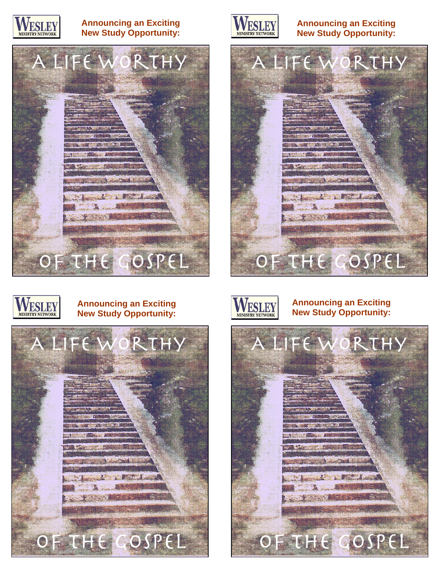

#### **Announcing an Exciting New Study Opportunity:**





#### **Announcing an Exciting New Study Opportunity:**



# WESLEY

#### **Announcing an Exciting New Study Opportunity:**